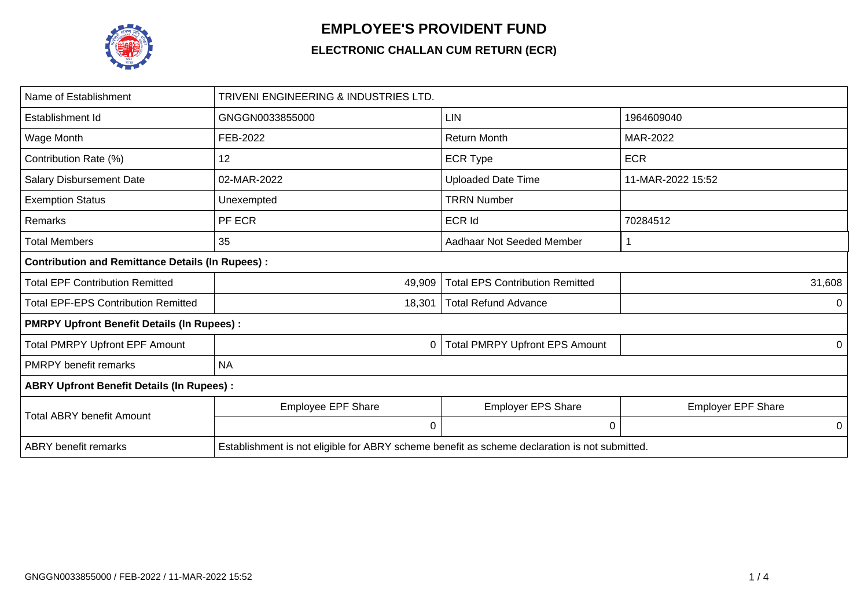

## **EMPLOYEE'S PROVIDENT FUND**

## **ELECTRONIC CHALLAN CUM RETURN (ECR)**

| Name of Establishment                                   | TRIVENI ENGINEERING & INDUSTRIES LTD.                                                         |                                        |                           |  |  |  |  |
|---------------------------------------------------------|-----------------------------------------------------------------------------------------------|----------------------------------------|---------------------------|--|--|--|--|
| Establishment Id                                        | GNGGN0033855000                                                                               | <b>LIN</b>                             | 1964609040                |  |  |  |  |
| Wage Month                                              | FEB-2022                                                                                      | <b>Return Month</b>                    | MAR-2022                  |  |  |  |  |
| Contribution Rate (%)                                   | 12                                                                                            | <b>ECR Type</b>                        | <b>ECR</b>                |  |  |  |  |
| <b>Salary Disbursement Date</b>                         | 02-MAR-2022                                                                                   | <b>Uploaded Date Time</b>              | 11-MAR-2022 15:52         |  |  |  |  |
| <b>Exemption Status</b>                                 | Unexempted                                                                                    | <b>TRRN Number</b>                     |                           |  |  |  |  |
| Remarks                                                 | PF ECR                                                                                        | <b>ECR Id</b>                          | 70284512                  |  |  |  |  |
| <b>Total Members</b>                                    | 35                                                                                            | Aadhaar Not Seeded Member              |                           |  |  |  |  |
| <b>Contribution and Remittance Details (In Rupees):</b> |                                                                                               |                                        |                           |  |  |  |  |
| <b>Total EPF Contribution Remitted</b>                  | 49,909                                                                                        | <b>Total EPS Contribution Remitted</b> | 31,608                    |  |  |  |  |
| <b>Total EPF-EPS Contribution Remitted</b>              | 18,301                                                                                        | <b>Total Refund Advance</b>            | 0                         |  |  |  |  |
| <b>PMRPY Upfront Benefit Details (In Rupees):</b>       |                                                                                               |                                        |                           |  |  |  |  |
| <b>Total PMRPY Upfront EPF Amount</b>                   | 0                                                                                             | <b>Total PMRPY Upfront EPS Amount</b>  | 0                         |  |  |  |  |
| <b>PMRPY</b> benefit remarks                            | <b>NA</b>                                                                                     |                                        |                           |  |  |  |  |
| <b>ABRY Upfront Benefit Details (In Rupees):</b>        |                                                                                               |                                        |                           |  |  |  |  |
|                                                         | <b>Employee EPF Share</b>                                                                     | <b>Employer EPS Share</b>              | <b>Employer EPF Share</b> |  |  |  |  |
| <b>Total ABRY benefit Amount</b>                        | 0                                                                                             | 0                                      | 0                         |  |  |  |  |
| <b>ABRY</b> benefit remarks                             | Establishment is not eligible for ABRY scheme benefit as scheme declaration is not submitted. |                                        |                           |  |  |  |  |
|                                                         |                                                                                               |                                        |                           |  |  |  |  |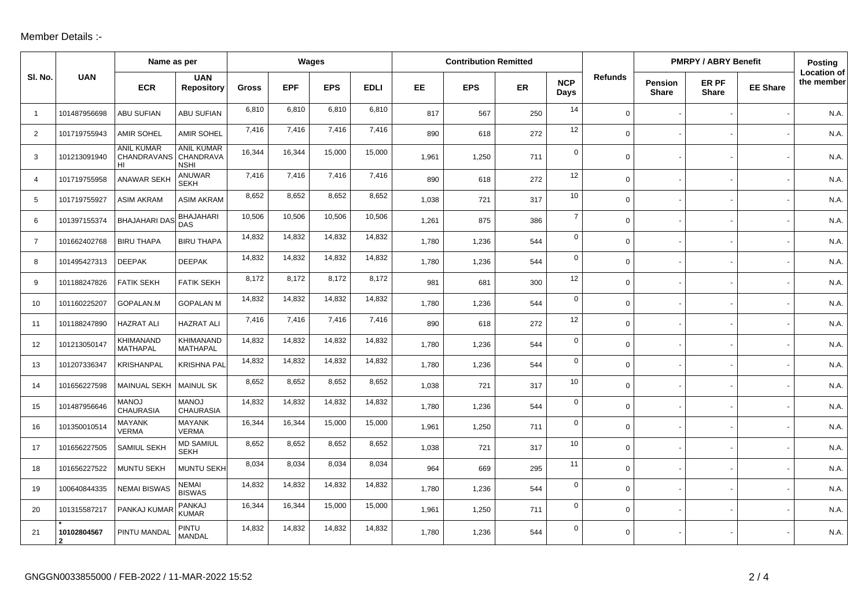## Member Details :-

|                |                               | Name as per                                      |                                     | Wages        |            |            |             | <b>Contribution Remitted</b> |            |           |                    |                | <b>PMRPY / ABRY Benefit</b>    |                       |                 | Posting                          |
|----------------|-------------------------------|--------------------------------------------------|-------------------------------------|--------------|------------|------------|-------------|------------------------------|------------|-----------|--------------------|----------------|--------------------------------|-----------------------|-----------------|----------------------------------|
| SI. No.        | <b>UAN</b>                    | <b>ECR</b>                                       | <b>UAN</b><br><b>Repository</b>     | <b>Gross</b> | <b>EPF</b> | <b>EPS</b> | <b>EDLI</b> | EE.                          | <b>EPS</b> | <b>ER</b> | <b>NCP</b><br>Days | <b>Refunds</b> | <b>Pension</b><br><b>Share</b> | ER PF<br><b>Share</b> | <b>EE Share</b> | <b>Location of</b><br>the member |
| $\overline{1}$ | 101487956698                  | <b>ABU SUFIAN</b>                                | <b>ABU SUFIAN</b>                   | 6,810        | 6,810      | 6,810      | 6,810       | 817                          | 567        | 250       | 14                 | $\mathbf 0$    |                                |                       |                 | N.A                              |
| 2              | 101719755943                  | <b>AMIR SOHEL</b>                                | <b>AMIR SOHEL</b>                   | 7,416        | 7,416      | 7,416      | 7,416       | 890                          | 618        | 272       | 12                 | $\Omega$       |                                |                       |                 | N.A.                             |
| 3              | 101213091940                  | <b>ANIL KUMAR</b><br>CHANDRAVANS CHANDRAVA<br>HI | <b>ANIL KUMAR</b><br><b>NSHI</b>    | 16,344       | 16,344     | 15,000     | 15,000      | 1,961                        | 1,250      | 711       | $\mathbf 0$        | $\mathbf 0$    |                                |                       |                 | N.A                              |
| $\overline{4}$ | 101719755958                  | <b>ANAWAR SEKH</b>                               | ANUWAR<br><b>SEKH</b>               | 7,416        | 7,416      | 7,416      | 7,416       | 890                          | 618        | 272       | 12                 | $\mathbf 0$    |                                |                       |                 | N.A.                             |
| 5              | 101719755927                  | <b>ASIM AKRAM</b>                                | <b>ASIM AKRAM</b>                   | 8,652        | 8,652      | 8,652      | 8,652       | 1,038                        | 721        | 317       | 10                 | $\mathbf 0$    |                                |                       |                 | N.A.                             |
| 6              | 101397155374                  | <b>BHAJAHARI DAS</b>                             | <b>BHAJAHARI</b><br>DAS             | 10,506       | 10,506     | 10,506     | 10,506      | 1,261                        | 875        | 386       | $\overline{7}$     | $\mathbf 0$    |                                |                       |                 | N.A.                             |
| $\overline{7}$ | 101662402768                  | <b>BIRU THAPA</b>                                | <b>BIRU THAPA</b>                   | 14,832       | 14,832     | 14,832     | 14,832      | 1,780                        | 1,236      | 544       | $\mathsf{O}$       | $\mathbf 0$    |                                |                       |                 | N.A.                             |
| 8              | 101495427313                  | <b>DEEPAK</b>                                    | <b>DEEPAK</b>                       | 14,832       | 14,832     | 14,832     | 14,832      | 1,780                        | 1,236      | 544       | $\mathbf 0$        | $\mathbf 0$    |                                |                       |                 | N.A.                             |
| 9              | 101188247826                  | <b>FATIK SEKH</b>                                | <b>FATIK SEKH</b>                   | 8,172        | 8,172      | 8,172      | 8,172       | 981                          | 681        | 300       | 12                 | $\mathbf 0$    |                                |                       |                 | N.A.                             |
| 10             | 101160225207                  | GOPALAN.M                                        | <b>GOPALAN M</b>                    | 14,832       | 14,832     | 14,832     | 14,832      | 1,780                        | 1,236      | 544       | $\mathbf 0$        | $\mathbf 0$    |                                |                       |                 | N.A.                             |
| 11             | 101188247890                  | <b>HAZRAT ALI</b>                                | <b>HAZRAT ALI</b>                   | 7,416        | 7,416      | 7,416      | 7,416       | 890                          | 618        | 272       | 12                 | $\mathbf 0$    |                                |                       |                 | N.A.                             |
| 12             | 101213050147                  | KHIMANAND<br>MATHAPAL                            | <b>KHIMANAND</b><br><b>MATHAPAL</b> | 14,832       | 14,832     | 14,832     | 14,832      | 1,780                        | 1,236      | 544       | $\mathbf 0$        | $\mathbf 0$    |                                |                       |                 | N.A                              |
| 13             | 101207336347                  | <b>KRISHANPAL</b>                                | <b>KRISHNA PAL</b>                  | 14,832       | 14,832     | 14,832     | 14,832      | 1,780                        | 1,236      | 544       | $\mathbf 0$        | $\mathbf 0$    |                                |                       |                 | N.A.                             |
| 14             | 101656227598                  | MAINUAL SEKH                                     | <b>MAINUL SK</b>                    | 8,652        | 8,652      | 8,652      | 8,652       | 1,038                        | 721        | 317       | 10                 | 0              |                                |                       |                 | N.A.                             |
| 15             | 101487956646                  | <b>MANOJ</b><br><b>CHAURASIA</b>                 | <b>MANOJ</b><br><b>CHAURASIA</b>    | 14,832       | 14,832     | 14,832     | 14,832      | 1,780                        | 1,236      | 544       | $\mathbf 0$        | $\mathbf 0$    |                                |                       |                 | N.A.                             |
| 16             | 101350010514                  | <b>MAYANK</b><br><b>VERMA</b>                    | MAYANK<br><b>VERMA</b>              | 16,344       | 16,344     | 15,000     | 15,000      | 1,961                        | 1,250      | 711       | $\mathbf 0$        | $\mathbf 0$    |                                |                       |                 | N.A                              |
| 17             | 101656227505                  | SAMIUL SEKH                                      | <b>MD SAMIUL</b><br><b>SEKH</b>     | 8,652        | 8,652      | 8,652      | 8,652       | 1,038                        | 721        | 317       | 10                 | $\mathbf 0$    |                                |                       |                 | N.A.                             |
| 18             | 101656227522                  | MUNTU SEKH                                       | <b>MUNTU SEKH</b>                   | 8,034        | 8,034      | 8,034      | 8,034       | 964                          | 669        | 295       | 11                 | $\mathbf 0$    |                                |                       |                 | N.A.                             |
| 19             | 100640844335                  | <b>NEMAI BISWAS</b>                              | <b>NEMAI</b><br><b>BISWAS</b>       | 14,832       | 14,832     | 14,832     | 14,832      | 1,780                        | 1,236      | 544       | $\mathbf 0$        | $\mathbf 0$    |                                |                       |                 | N.A                              |
| 20             | 101315587217                  | PANKAJ KUMAR                                     | <b>PANKAJ</b><br><b>KUMAR</b>       | 16,344       | 16,344     | 15,000     | 15,000      | 1,961                        | 1,250      | 711       | $\mathsf{O}$       | $\mathbf 0$    |                                |                       |                 | N.A.                             |
| 21             | 10102804567<br>$\overline{2}$ | PINTU MANDAL                                     | PINTU<br><b>MANDAL</b>              | 14,832       | 14,832     | 14,832     | 14,832      | 1,780                        | 1,236      | 544       | $\mathbf 0$        | $\mathbf 0$    |                                |                       |                 | N.A                              |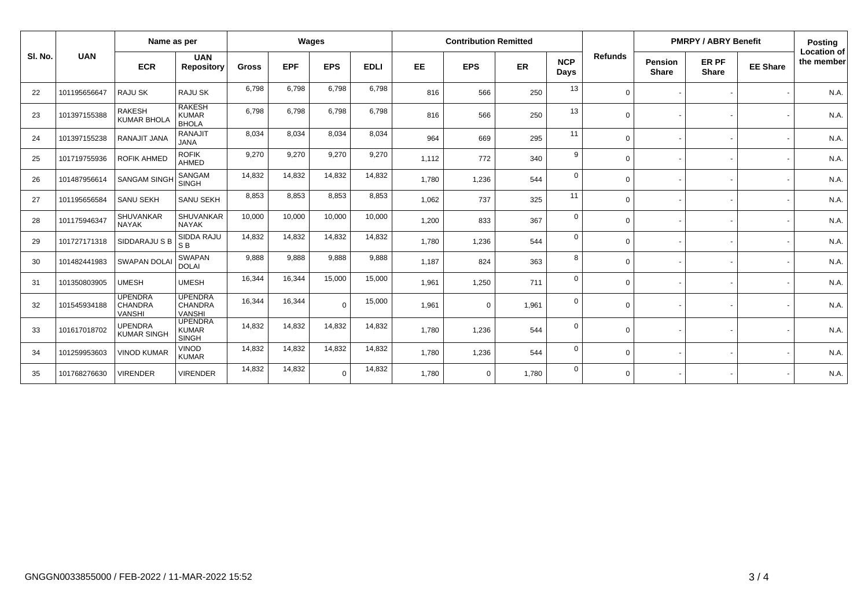|         |              | Name as per                                       |                                                | Wages        |            |            | <b>Contribution Remitted</b> |           |             |       |                    | <b>PMRPY / ABRY Benefit</b> |                         |                       | <b>Posting</b>  |                           |
|---------|--------------|---------------------------------------------------|------------------------------------------------|--------------|------------|------------|------------------------------|-----------|-------------|-------|--------------------|-----------------------------|-------------------------|-----------------------|-----------------|---------------------------|
| SI. No. | <b>UAN</b>   | <b>ECR</b>                                        | <b>UAN</b><br><b>Repository</b>                | <b>Gross</b> | <b>EPF</b> | <b>EPS</b> | <b>EDLI</b>                  | <b>EE</b> | <b>EPS</b>  | ER    | <b>NCP</b><br>Days | <b>Refunds</b>              | Pension<br><b>Share</b> | ER PF<br><b>Share</b> | <b>EE Share</b> | Location of<br>the member |
| 22      | 101195656647 | <b>RAJU SK</b>                                    | RAJU SK                                        | 6,798        | 6,798      | 6,798      | 6,798                        | 816       | 566         | 250   | 13                 | $\Omega$                    |                         |                       |                 | N.A.                      |
| 23      | 101397155388 | <b>RAKESH</b><br><b>KUMAR BHOLA</b>               | <b>RAKESH</b><br><b>KUMAR</b><br><b>BHOLA</b>  | 6,798        | 6,798      | 6,798      | 6,798                        | 816       | 566         | 250   | 13                 | $\Omega$                    |                         |                       |                 | N.A.                      |
| 24      | 101397155238 | RANAJIT JANA                                      | <b>RANAJIT</b><br><b>JANA</b>                  | 8,034        | 8,034      | 8,034      | 8,034                        | 964       | 669         | 295   | 11                 | $\Omega$                    |                         |                       |                 | N.A.                      |
| 25      | 101719755936 | <b>ROFIK AHMED</b>                                | <b>ROFIK</b><br>AHMED                          | 9,270        | 9,270      | 9,270      | 9,270                        | 1,112     | 772         | 340   | 9                  | $\Omega$                    |                         |                       |                 | N.A.                      |
| 26      | 101487956614 | <b>SANGAM SINGH</b>                               | <b>SANGAM</b><br><b>SINGH</b>                  | 14,832       | 14,832     | 14,832     | 14,832                       | 1,780     | 1,236       | 544   | $\Omega$           | $\Omega$                    |                         |                       |                 | N.A.                      |
| 27      | 101195656584 | <b>SANU SEKH</b>                                  | SANU SEKH                                      | 8,853        | 8,853      | 8,853      | 8,853                        | 1,062     | 737         | 325   | 11                 | $\Omega$                    |                         |                       |                 | N.A.                      |
| 28      | 101175946347 | <b>SHUVANKAR</b><br><b>NAYAK</b>                  | SHUVANKAR<br><b>NAYAK</b>                      | 10,000       | 10,000     | 10,000     | 10,000                       | 1,200     | 833         | 367   | $\mathbf 0$        | $\Omega$                    |                         |                       |                 | N.A.                      |
| 29      | 101727171318 | SIDDARAJU S B                                     | SIDDA RAJU<br>S <sub>B</sub>                   | 14,832       | 14,832     | 14,832     | 14,832                       | 1,780     | 1,236       | 544   | $\mathbf 0$        | $\Omega$                    |                         |                       |                 | N.A.                      |
| 30      | 101482441983 | <b>SWAPAN DOLAI</b>                               | <b>SWAPAN</b><br><b>DOLAI</b>                  | 9,888        | 9,888      | 9,888      | 9,888                        | 1,187     | 824         | 363   | 8                  | $\Omega$                    |                         |                       |                 | N.A.                      |
| 31      | 101350803905 | <b>UMESH</b>                                      | <b>UMESH</b>                                   | 16,344       | 16,344     | 15,000     | 15,000                       | 1,961     | 1,250       | 711   | $\Omega$           | $\Omega$                    |                         |                       |                 | N.A.                      |
| 32      | 101545934188 | <b>UPENDRA</b><br><b>CHANDRA</b><br><b>VANSHI</b> | <b>UPENDRA</b><br>CHANDRA<br><b>VANSHI</b>     | 16,344       | 16,344     | $\Omega$   | 15,000                       | 1,961     | $\mathbf 0$ | 1,961 | $\Omega$           | $\Omega$                    |                         |                       |                 | N.A.                      |
| 33      | 101617018702 | <b>UPENDRA</b><br><b>KUMAR SINGH</b>              | <b>UPENDRA</b><br><b>KUMAR</b><br><b>SINGH</b> | 14,832       | 14,832     | 14,832     | 14,832                       | 1,780     | 1,236       | 544   | $\Omega$           | $\Omega$                    |                         |                       |                 | N.A.                      |
| 34      | 101259953603 | <b>VINOD KUMAR</b>                                | <b>VINOD</b><br><b>KUMAR</b>                   | 14,832       | 14,832     | 14,832     | 14,832                       | 1,780     | 1,236       | 544   | $\mathbf 0$        | $\Omega$                    |                         |                       |                 | N.A.                      |
| 35      | 101768276630 | <b>VIRENDER</b>                                   | <b>VIRENDER</b>                                | 14,832       | 14,832     | $\Omega$   | 14,832                       | 1,780     | $\mathbf 0$ | 1,780 | $\Omega$           | $\Omega$                    |                         |                       |                 | N.A.                      |